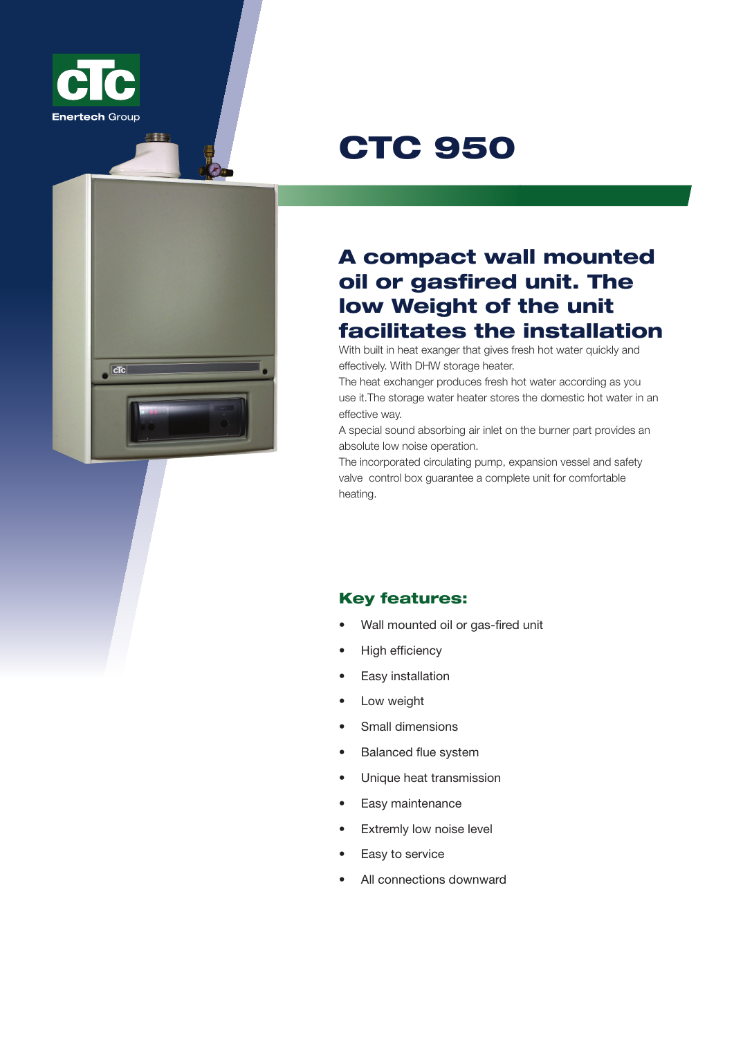

## CTC 950



## A compact wall mounted oil or gasfired unit. The low Weight of the unit facilitates the installation

With built in heat exanger that gives fresh hot water quickly and effectively. With DHW storage heater.

The heat exchanger produces fresh hot water according as you use it.The storage water heater stores the domestic hot water in an effective way.

A special sound absorbing air inlet on the burner part provides an absolute low noise operation.

The incorporated circulating pump, expansion vessel and safety valve control box guarantee a complete unit for comfortable heating.

## Key features:

- Wall mounted oil or gas-fired unit
- **High efficiency**
- **Easy** installation
- Low weight
- Small dimensions
- **Balanced flue system**
- Unique heat transmission
- Easy maintenance
- Extremly low noise level
- Easy to service
- All connections downward